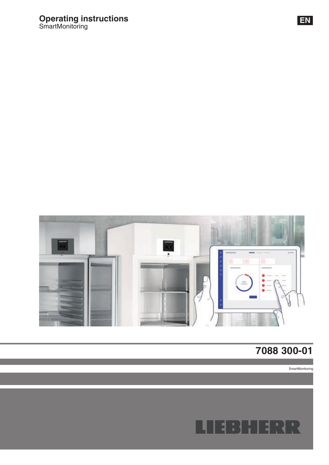# **Operating instructions** SmartMonitoring



# **7088 300-01**

**SmartMonitoring** 

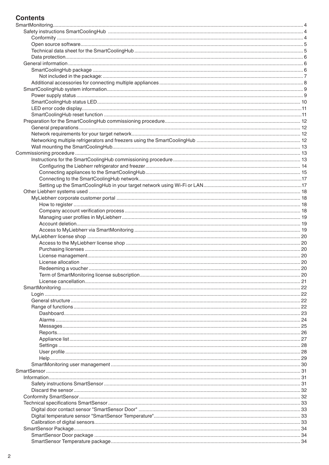#### **Contents**

| . 20 |
|------|
|      |
|      |
|      |
|      |
|      |
|      |
|      |
|      |
|      |
|      |
|      |
|      |
|      |
|      |
|      |
|      |
|      |
|      |
|      |
|      |
|      |
|      |
|      |
|      |
|      |
|      |
|      |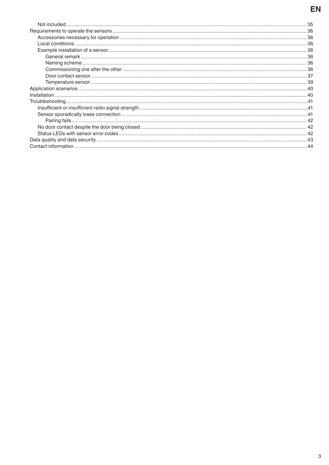## EN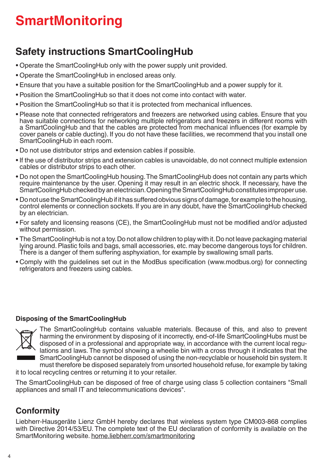# **SmartMonitoring**

# **Safety instructions SmartCoolingHub**

- Operate the SmartCoolingHub only with the power supply unit provided.
- Operate the SmartCoolingHub in enclosed areas only.
- Ensure that you have a suitable position for the SmartCoolingHub and a power supply for it.
- Position the SmartCoolingHub so that it does not come into contact with water.
- Position the SmartCoolingHub so that it is protected from mechanical influences.
- Please note that connected refrigerators and freezers are networked using cables. Ensure that you have suitable connections for networking multiple refrigerators and freezers in different rooms with a SmartCoolingHub and that the cables are protected from mechanical influences (for example by cover panels or cable ducting). If you do not have these facilities, we recommend that you install one SmartCoolingHub in each room.
- Do not use distributor strips and extension cables if possible.
- If the use of distributor strips and extension cables is unavoidable, do not connect multiple extension cables or distributor strips to each other.
- Do not open the SmartCoolingHub housing. The SmartCoolingHub does not contain any parts which require maintenance by the user. Opening it may result in an electric shock. If necessary, have the SmartCoolingHub checked by an electrician. Opening the SmartCoolingHub constitutes improper use.
- Do not use the SmartCoolingHub if it has suffered obvious signs of damage, for example to the housing, control elements or connection sockets. If you are in any doubt, have the SmartCoolingHub checked by an electrician.
- For safety and licensing reasons (CE), the SmartCoolingHub must not be modified and/or adjusted without permission.
- The SmartCoolingHub is not a toy. Do not allow children to play with it. Do not leave packaging material lying around. Plastic foils and bags, small accessories, etc. may become dangerous toys for children. There is a danger of them suffering asphyxiation, for example by swallowing small parts.
- Comply with the guidelines set out in the ModBus specification (www.modbus.org) for connecting refrigerators and freezers using cables.

#### **Disposing of the SmartCoolingHub**



The SmartCoolingHub contains valuable materials. Because of this, and also to prevent harming the environment by disposing of it incorrectly, end-of-life SmartCoolingHubs must be disposed of in a professional and appropriate way, in accordance with the current local regulations and laws. The symbol showing a wheelie bin with a cross through it indicates that the SmartCoolingHub cannot be disposed of using the non-recyclable or household bin system. It must therefore be disposed separately from unsorted household refuse, for example by taking it to local recycling centres or returning it to your retailer.

The SmartCoolingHub can be disposed of free of charge using class 5 collection containers "Small appliances and small IT and telecommunications devices".

#### **Conformity**

Liebherr-Hausgeräte Lienz GmbH hereby declares that wireless system type CM003-868 complies with Directive 2014/53/EU. The complete text of the EU declaration of conformity is available on the SmartMonitoring website. home.liebherr.com/smartmonitoring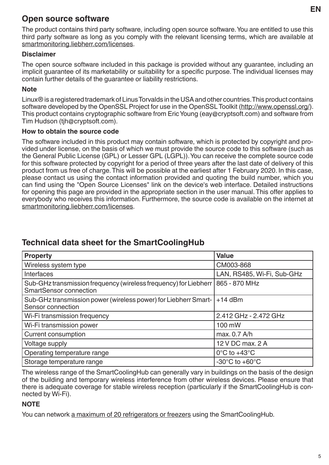The product contains third party software, including open source software. You are entitled to use this third party software as long as you comply with the relevant licensing terms, which are available at smartmonitoring.liebherr.com/licenses.

#### **Disclaimer**

The open source software included in this package is provided without any guarantee, including an implicit guarantee of its marketability or suitability for a specific purpose. The individual licenses may contain further details of the guarantee or liability restrictions.

#### **Note**

Linux® is a registered trademark of Linus Torvalds in the USA and other countries. This product contains software developed by the OpenSSL Project for use in the OpenSSL Toolkit (http://www.openssl.org/). This product contains cryptographic software from Eric Young (eay@cryptsoft.com) and software from Tim Hudson (tjh@cryptsoft.com).

#### **How to obtain the source code**

The software included in this product may contain software, which is protected by copyright and provided under license, on the basis of which we must provide the source code to this software (such as the General Public License (GPL) or Lesser GPL (LGPL)). You can receive the complete source code for this software protected by copyright for a period of three years after the last date of delivery of this product from us free of charge. This will be possible at the earliest after 1 February 2020. In this case, please contact us using the contact information provided and quoting the build number, which you can find using the "Open Source Licenses" link on the device's web interface. Detailed instructions for opening this page are provided in the appropriate section in the user manual. This offer applies to everybody who receives this information. Furthermore, the source code is available on the internet at smartmonitoring.liebherr.com/licenses.

## **Technical data sheet for the SmartCoolingHub**

| <b>Property</b>                                                                                     | <b>Value</b>                       |
|-----------------------------------------------------------------------------------------------------|------------------------------------|
| Wireless system type                                                                                | CM003-868                          |
| <b>Interfaces</b>                                                                                   | LAN, RS485, Wi-Fi, Sub-GHz         |
| Sub-GHz transmission frequency (wireless frequency) for Liebherr  <br><b>SmartSensor connection</b> | 865 - 870 MHz                      |
| Sub-GHz transmission power (wireless power) for Liebherr Smart-<br>Sensor connection                | $+14$ dBm                          |
| Wi-Fi transmission frequency                                                                        | 2.412 GHz - 2.472 GHz              |
| Wi-Fi transmission power                                                                            | 100 mW                             |
| <b>Current consumption</b>                                                                          | max. 0.7 A/h                       |
| Voltage supply                                                                                      | 12 V DC max, 2 A                   |
| Operating temperature range                                                                         | $0^{\circ}$ C to +43 $^{\circ}$ C  |
| Storage temperature range                                                                           | $-30^{\circ}$ C to $+60^{\circ}$ C |

The wireless range of the SmartCoolingHub can generally vary in buildings on the basis of the design of the building and temporary wireless interference from other wireless devices. Please ensure that there is adequate coverage for stable wireless reception (particularly if the SmartCoolingHub is connected by Wi-Fi).

#### **NOTE**

You can network a maximum of 20 refrigerators or freezers using the SmartCoolingHub.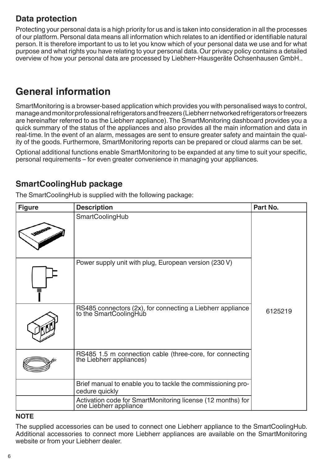## **Data protection**

Protecting your personal data is a high priority for us and is taken into consideration in all the processes of our platform. Personal data means all information which relates to an identified or identifiable natural person. It is therefore important to us to let you know which of your personal data we use and for what purpose and what rights you have relating to your personal data. Our privacy policy contains a detailed overview of how your personal data are processed by Liebherr-Hausgeräte Ochsenhausen GmbH..

# **General information**

SmartMonitoring is a browser-based application which provides you with personalised ways to control, manage and monitor professional refrigerators and freezers (Liebherr networked refrigerators or freezers are hereinafter referred to as the Liebherr appliance). The SmartMonitoring dashboard provides you a quick summary of the status of the appliances and also provides all the main information and data in real-time. In the event of an alarm, messages are sent to ensure greater safety and maintain the quality of the goods. Furthermore, SmartMonitoring reports can be prepared or cloud alarms can be set.

Optional additional functions enable SmartMonitoring to be expanded at any time to suit your specific, personal requirements – for even greater convenience in managing your appliances.

#### **SmartCoolingHub package**

The SmartCoolingHub is supplied with the following package:

| <b>Figure</b> | <b>Description</b>                                                                    | Part No. |
|---------------|---------------------------------------------------------------------------------------|----------|
| SSS           | <b>SmartCoolingHub</b>                                                                |          |
|               | Power supply unit with plug, European version (230 V)                                 |          |
|               | RS485 connectors (2x), for connecting a Liebherr appliance<br>to the SmartCoolingHub  | 6125219  |
|               | RS485 1.5 m connection cable (three-core, for connecting the Liebherr appliances)     |          |
|               | Brief manual to enable you to tackle the commissioning pro-<br>cedure quickly         |          |
|               | Activation code for SmartMonitoring license (12 months) for<br>one Liebherr appliance |          |

#### **NOTE**

The supplied accessories can be used to connect one Liebherr appliance to the SmartCoolingHub. Additional accessories to connect more Liebherr appliances are available on the SmartMonitoring website or from your Liebherr dealer.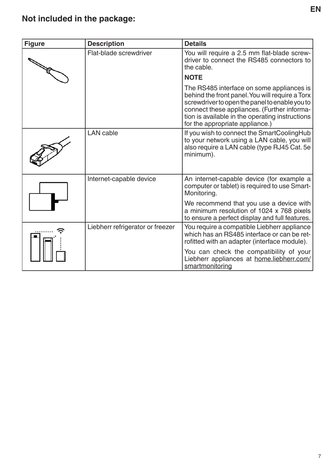# **Not included in the package:**

| <b>Figure</b> | <b>Description</b>               | <b>Details</b>                                                                                                                                                                                                                                                                      |
|---------------|----------------------------------|-------------------------------------------------------------------------------------------------------------------------------------------------------------------------------------------------------------------------------------------------------------------------------------|
|               | Flat-blade screwdriver           | You will require a 2.5 mm flat-blade screw-<br>driver to connect the RS485 connectors to<br>the cable.                                                                                                                                                                              |
|               |                                  | <b>NOTE</b>                                                                                                                                                                                                                                                                         |
|               |                                  | The RS485 interface on some appliances is<br>behind the front panel. You will require a Torx<br>screwdriver to open the panel to enable you to<br>connect these appliances. (Further informa-<br>tion is available in the operating instructions<br>for the appropriate appliance.) |
|               | <b>LAN</b> cable                 | If you wish to connect the SmartCoolingHub<br>to your network using a LAN cable, you will<br>also require a LAN cable (type RJ45 Cat. 5e<br>minimum).                                                                                                                               |
|               | Internet-capable device          | An internet-capable device (for example a<br>computer or tablet) is required to use Smart-<br>Monitoring.                                                                                                                                                                           |
|               |                                  | We recommend that you use a device with<br>a minimum resolution of 1024 x 768 pixels<br>to ensure a perfect display and full features.                                                                                                                                              |
|               | Liebherr refrigerator or freezer | You require a compatible Liebherr appliance<br>which has an RS485 interface or can be ret-<br>rofitted with an adapter (interface module).                                                                                                                                          |
|               |                                  | You can check the compatibility of your<br>Liebherr appliances at home.liebherr.com/<br>smartmonitoring                                                                                                                                                                             |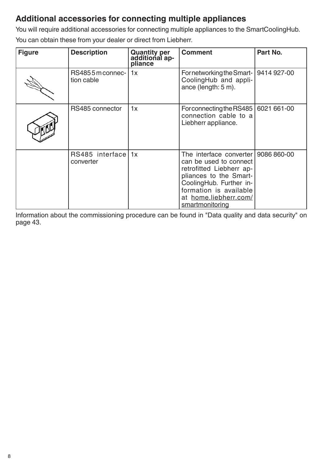## **Additional accessories for connecting multiple appliances**

You will require additional accessories for connecting multiple appliances to the SmartCoolingHub. You can obtain these from your dealer or direct from Liebherr.

| <b>Figure</b> | <b>Description</b>              | Quantity per<br>additional ap-<br>pliance | <b>Comment</b>                                                                                                                                                                                                         | Part No. |
|---------------|---------------------------------|-------------------------------------------|------------------------------------------------------------------------------------------------------------------------------------------------------------------------------------------------------------------------|----------|
|               | RS4855 m connec-<br>tion cable  | 1x                                        | For networking the Smart-   9414 927-00<br>CoolingHub and appli-<br>ance (length: 5 m).                                                                                                                                |          |
|               | RS485 connector                 | 1x                                        | For connecting the RS485   6021 661-00<br>connection cable to a<br>Liebherr appliance.                                                                                                                                 |          |
|               | RS485 interface 1x<br>converter |                                           | The interface converter   9086 860-00<br>can be used to connect<br>retrofitted Liebherr ap-<br>pliances to the Smart-<br>CoolingHub. Further in-<br>formation is available<br>at home.liebherr.com/<br>smartmonitoring |          |

Information about the commissioning procedure can be found in "Data quality and data security" on page 43.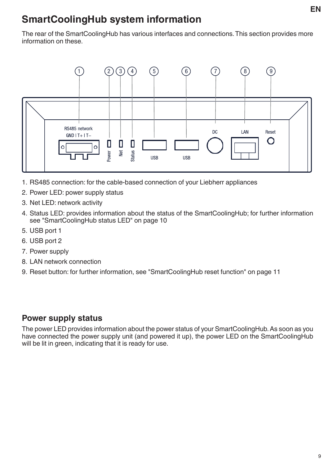# **SmartCoolingHub system information**

The rear of the SmartCoolingHub has various interfaces and connections. This section provides more information on these.



- 1. RS485 connection: for the cable-based connection of your Liebherr appliances
- 2. Power LED: power supply status
- 3. Net LED: network activity
- 4. Status LED: provides information about the status of the SmartCoolingHub; for further information see "SmartCoolingHub status LED" on page 10
- 5. USB port 1
- 6. USB port 2
- 7. Power supply
- 8. LAN network connection
- 9. Reset button: for further information, see "SmartCoolingHub reset function" on page 11

#### **Power supply status**

The power LED provides information about the power status of your SmartCoolingHub. As soon as you have connected the power supply unit (and powered it up), the power LED on the SmartCoolingHub will be lit in green, indicating that it is ready for use.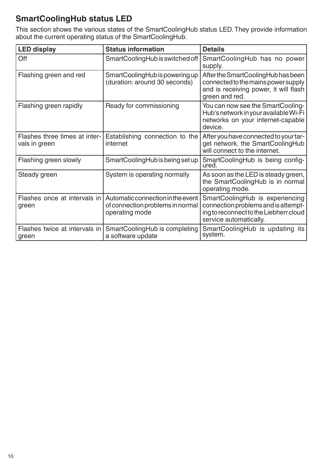## **SmartCoolingHub status LED**

This section shows the various states of the SmartCoolingHub status LED. They provide information about the current operating status of the SmartCoolingHub.

| <b>LED display</b>                             | <b>Status information</b>                                                               | <b>Details</b>                                                                                                                             |
|------------------------------------------------|-----------------------------------------------------------------------------------------|--------------------------------------------------------------------------------------------------------------------------------------------|
| Off                                            | SmartCoolingHub is switched off                                                         | SmartCoolingHub has no power<br>supply.                                                                                                    |
| Flashing green and red                         | SmartCoolingHub is powering up<br>(duration: around 30 seconds)                         | After the SmartCoolingHub has been<br>connected to the mains power supply<br>and is receiving power, it will flash<br>green and red.       |
| Flashing green rapidly                         | Ready for commissioning                                                                 | You can now see the SmartCooling-<br>Hub's network in your available Wi-Fi<br>networks on your internet-capable<br>device.                 |
| Flashes three times at inter-<br>vals in green | Establishing connection to the<br>internet                                              | After you have connected to your tar-<br>get network, the SmartCoolingHub<br>will connect to the internet.                                 |
| Flashing green slowly                          | SmartCoolingHub is being set up                                                         | SmartCoolingHub is being config-<br>ured.                                                                                                  |
| Steady green                                   | System is operating normally                                                            | As soon as the LED is steady green,<br>the SmartCoolingHub is in normal<br>operating mode.                                                 |
| Flashes once at intervals in<br>green          | Automatic connection in the event<br>of connection problems in normal<br>operating mode | SmartCoolingHub is experiencing<br>connection problems and is attempt-<br>ing to reconnect to the Liebherr cloud<br>service automatically. |
| Flashes twice at intervals in<br>green         | SmartCoolingHub is completing<br>a software update                                      | SmartCoolingHub is updating its<br>system.                                                                                                 |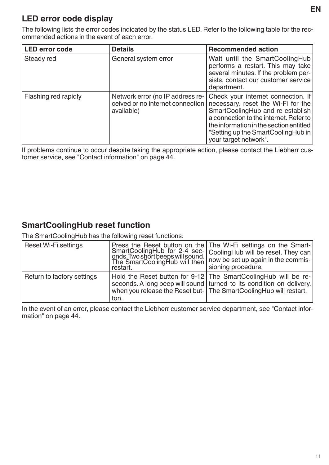#### **LED error code display**

The following lists the error codes indicated by the status LED. Refer to the following table for the recommended actions in the event of each error.

| <b>LED error code</b> | <b>Details</b>                                                                     | <b>Recommended action</b>                                                                                                                                                                                                                                        |
|-----------------------|------------------------------------------------------------------------------------|------------------------------------------------------------------------------------------------------------------------------------------------------------------------------------------------------------------------------------------------------------------|
| Steady red            | General system error                                                               | Wait until the SmartCoolingHub<br>performs a restart. This may take<br>several minutes. If the problem per-<br>sists, contact our customer service<br>department.                                                                                                |
| Flashing red rapidly  | Network error (no IP address re-<br>ceived or no internet connection<br>available) | Check your internet connection. If<br>necessary, reset the Wi-Fi for the<br>SmartCoolingHub and re-establish<br>a connection to the internet. Refer to<br>the information in the section entitled<br>"Setting up the SmartCoolingHub in<br>your target network". |

If problems continue to occur despite taking the appropriate action, please contact the Liebherr customer service, see "Contact information" on page 44.

## **SmartCoolingHub reset function**

The SmartCoolingHub has the following reset functions:

| Reset Wi-Fi settings       | restart. | Press the Reset button on the The Wi-Fi settings on the Smart-<br>SmartCoolingHub for 2-4 sec-<br>coolingHub will be reset. They can<br>onds. Two shortbeeps will sound.<br>The SmartCoolingHub will then   now be set up again in the commis-<br>sioning procedure. |
|----------------------------|----------|----------------------------------------------------------------------------------------------------------------------------------------------------------------------------------------------------------------------------------------------------------------------|
| Return to factory settings | ton.     | Hold the Reset button for 9-12 The SmartCoolingHub will be re-<br>seconds. A long beep will sound turned to its condition on delivery.<br>when you release the Reset but- The SmartCoolingHub will restart.                                                          |

In the event of an error, please contact the Liebherr customer service department, see "Contact information" on page 44.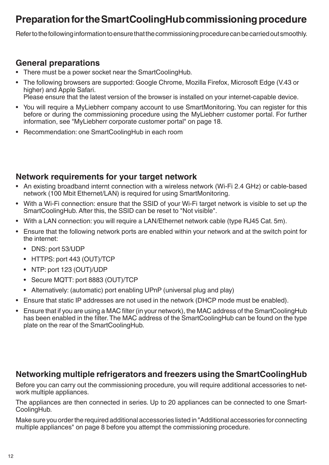# **Preparation for the SmartCoolingHub commissioning procedure**

Refer to the following information to ensure that the commissioning procedure can be carried out smoothly.

## **General preparations**

- There must be a power socket near the SmartCoolingHub.
- The following browsers are supported: Google Chrome, Mozilla Firefox, Microsoft Edge (V.43 or higher) and Apple Safari. Please ensure that the latest version of the browser is installed on your internet-capable device.
	-
- You will require a MyLiebherr company account to use SmartMonitoring. You can register for this before or during the commissioning procedure using the MyLiebherr customer portal. For further information, see "MyLiebherr corporate customer portal" on page 18.
- Recommendation: one SmartCoolingHub in each room

#### **Network requirements for your target network**

- An existing broadband internt connection with a wireless network (Wi-Fi 2.4 GHz) or cable-based network (100 Mbit Ethernet/LAN) is required for using SmartMonitoring.
- With a Wi-Fi connection: ensure that the SSID of your Wi-Fi target network is visible to set up the SmartCoolingHub. After this, the SSID can be reset to "Not visible".
- With a LAN connection: you will require a LAN/Ethernet network cable (type RJ45 Cat. 5m).
- Ensure that the following network ports are enabled within your network and at the switch point for the internet:
	- DNS: port 53/UDP
	- HTTPS: port 443 (OUT)/TCP
	- NTP: port 123 (OUT)/UDP
	- Secure MQTT: port 8883 (OUT)/TCP
	- Alternatively: (automatic) port enabling UPnP (universal plug and play)
- Ensure that static IP addresses are not used in the network (DHCP mode must be enabled).
- Ensure that if you are using a MAC filter (in your network), the MAC address of the SmartCoolingHub has been enabled in the filter. The MAC address of the SmartCoolingHub can be found on the type plate on the rear of the SmartCoolingHub.

#### **Networking multiple refrigerators and freezers using the SmartCoolingHub**

Before you can carry out the commissioning procedure, you will require additional accessories to network multiple appliances.

The appliances are then connected in series. Up to 20 appliances can be connected to one Smart-CoolingHub.

Make sure you order the required additional accessories listed in "Additional accessories for connecting multiple appliances" on page 8 before you attempt the commissioning procedure.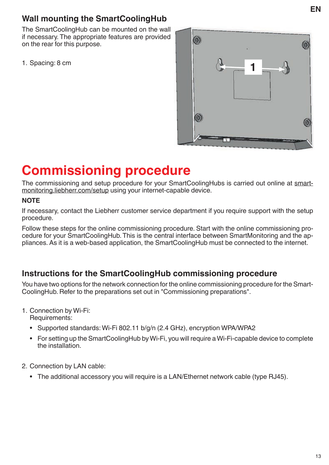## **Wall mounting the SmartCoolingHub**

The SmartCoolingHub can be mounted on the wall if necessary. The appropriate features are provided on the rear for this purpose.



# **Commissioning procedure**

The commissioning and setup procedure for your SmartCoolingHubs is carried out online at smartmonitoring.liebherr.com/setup using your internet-capable device.

#### **NOTE**

If necessary, contact the Liebherr customer service department if you require support with the setup procedure.

Follow these steps for the online commissioning procedure. Start with the online commissioning procedure for your SmartCoolingHub. This is the central interface between SmartMonitoring and the appliances. As it is a web-based application, the SmartCoolingHub must be connected to the internet.

#### **Instructions for the SmartCoolingHub commissioning procedure**

You have two options for the network connection for the online commissioning procedure for the Smart-CoolingHub. Refer to the preparations set out in "Commissioning preparations".

- 1. Connection by Wi-Fi: Requirements:
	- Supported standards: Wi-Fi 802.11 b/g/n (2.4 GHz), encryption WPA/WPA2
	- For setting up the SmartCoolingHub by Wi-Fi, you will require a Wi-Fi-capable device to complete the installation.
- 2. Connection by LAN cable:
	- The additional accessory you will require is a LAN/Ethernet network cable (type RJ45).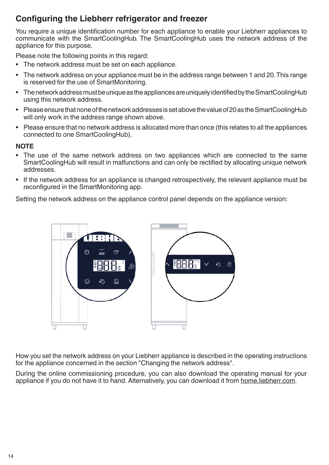## **Configuring the Liebherr refrigerator and freezer**

You require a unique identification number for each appliance to enable your Liebherr appliances to communicate with the SmartCoolingHub. The SmartCoolingHub uses the network address of the appliance for this purpose.

Please note the following points in this regard:

- The network address must be set on each appliance.
- The network address on your appliance must be in the address range between 1 and 20. This range is reserved for the use of SmartMonitoring.
- The network address must be unique as the appliances are uniquely identified by the SmartCoolingHub using this network address.
- Please ensure that none of the network addresses is set above the value of 20 as the SmartCoolingHub will only work in the address range shown above.
- Please ensure that no network address is allocated more than once (this relates to all the appliances connected to one SmartCoolingHub).

#### **NOTE**

- The use of the same network address on two appliances which are connected to the same SmartCoolingHub will result in malfunctions and can only be rectified by allocating unique network addresses.
- If the network address for an appliance is changed retrospectively, the relevant appliance must be reconfigured in the SmartMonitoring app.

Setting the network address on the appliance control panel depends on the appliance version:



How you set the network address on your Liebherr appliance is described in the operating instructions for the appliance concerned in the section "Changing the network address".

During the online commissioning procedure, you can also download the operating manual for your appliance if you do not have it to hand. Alternatively, you can download it from home.liebherr.com.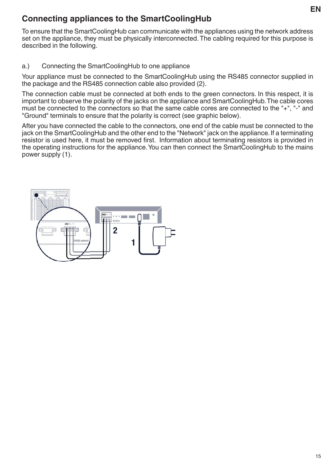## **Connecting appliances to the SmartCoolingHub**

To ensure that the SmartCoolingHub can communicate with the appliances using the network address set on the appliance, they must be physically interconnected. The cabling required for this purpose is described in the following.

#### a.) Connecting the SmartCoolingHub to one appliance

Your appliance must be connected to the SmartCoolingHub using the RS485 connector supplied in the package and the RS485 connection cable also provided (2).

The connection cable must be connected at both ends to the green connectors. In this respect, it is important to observe the polarity of the jacks on the appliance and SmartCoolingHub. The cable cores must be connected to the connectors so that the same cable cores are connected to the "+", "-" and "Ground" terminals to ensure that the polarity is correct (see graphic below).

After you have connected the cable to the connectors, one end of the cable must be connected to the jack on the SmartCoolingHub and the other end to the "Network" jack on the appliance. If a terminating resistor is used here, it must be removed first. Information about terminating resistors is provided in the operating instructions for the appliance. You can then connect the SmartCoolingHub to the mains power supply (1).

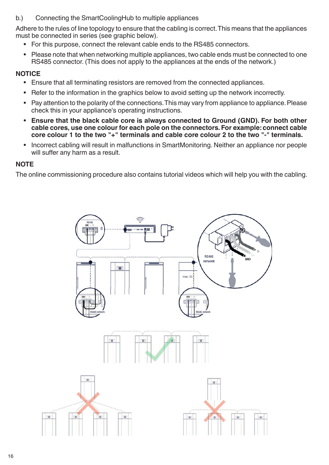#### b.) Connecting the SmartCoolingHub to multiple appliances

Adhere to the rules of line topology to ensure that the cabling is correct. This means that the appliances must be connected in series (see graphic below).

- For this purpose, connect the relevant cable ends to the RS485 connectors.
- Please note that when networking multiple appliances, two cable ends must be connected to one RS485 connector. (This does not apply to the appliances at the ends of the network.)

#### **NOTICE**

- Ensure that all terminating resistors are removed from the connected appliances.
- Refer to the information in the graphics below to avoid setting up the network incorrectly.
- Pay attention to the polarity of the connections. This may vary from appliance to appliance. Please check this in your appliance's operating instructions.
- **• Ensure that the black cable core is always connected to Ground (GND). For both other cable cores, use one colour for each pole on the connectors. For example: connect cable core colour 1 to the two "+" terminals and cable core colour 2 to the two "-" terminals.**
- Incorrect cabling will result in malfunctions in SmartMonitoring. Neither an appliance nor people will suffer any harm as a result.

#### **NOTE**

The online commissioning procedure also contains tutorial videos which will help you with the cabling.

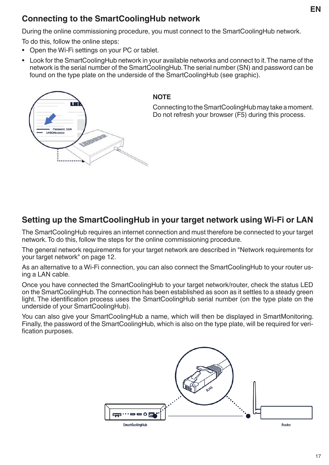## **Connecting to the SmartCoolingHub network**

During the online commissioning procedure, you must connect to the SmartCoolingHub network.

To do this, follow the online steps:

- Open the Wi-Fi settings on your PC or tablet.
- Look for the SmartCoolingHub network in your available networks and connect to it. The name of the network is the serial number of the SmartCoolingHub. The serial number (SN) and password can be found on the type plate on the underside of the SmartCoolingHub (see graphic).



#### **NOTE**

Connecting to the SmartCoolingHub may take a moment. Do not refresh your browser (F5) during this process.

## **Setting up the SmartCoolingHub in your target network using Wi-Fi or LAN**

The SmartCoolingHub requires an internet connection and must therefore be connected to your target network. To do this, follow the steps for the online commissioning procedure.

The general network requirements for your target network are described in "Network requirements for your target network" on page 12.

As an alternative to a Wi-Fi connection, you can also connect the SmartCoolingHub to your router using a LAN cable.

Once you have connected the SmartCoolingHub to your target network/router, check the status LED on the SmartCoolingHub. The connection has been established as soon as it settles to a steady green light. The identification process uses the SmartCoolingHub serial number (on the type plate on the underside of your SmartCoolingHub).

You can also give your SmartCoolingHub a name, which will then be displayed in SmartMonitoring. Finally, the password of the SmartCoolingHub, which is also on the type plate, will be required for verification purposes.

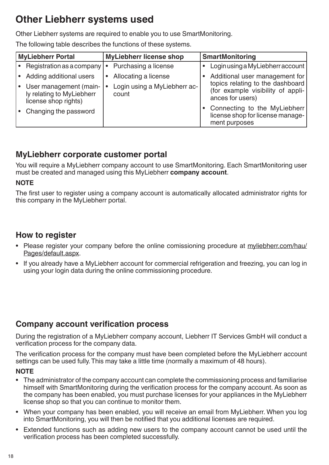# **Other Liebherr systems used**

Other Liebherr systems are required to enable you to use SmartMonitoring.

The following table describes the functions of these systems.

| <b>MyLiebherr Portal</b>                                                    | <b>MyLiebherr license shop</b>        | <b>SmartMonitoring</b>                                                                    |
|-----------------------------------------------------------------------------|---------------------------------------|-------------------------------------------------------------------------------------------|
| Registration as a company                                                   | Purchasing a license<br>$\bullet$     | • Login using a MyLiebherr account                                                        |
| Adding additional users                                                     | Allocating a license<br>$\bullet$     | Additional user management for                                                            |
| User management (main-<br>ly relating to MyLiebherr<br>license shop rights) | Login using a MyLiebherr ac-<br>count | topics relating to the dashboard<br>(for example visibility of appli-<br>ances for users) |
| Changing the password                                                       |                                       | • Connecting to the MyLiebherr<br>license shop for license manage-<br>ment purposes       |

#### **MyLiebherr corporate customer portal**

You will require a MyLiebherr company account to use SmartMonitoring. Each SmartMonitoring user must be created and managed using this MyLiebherr **company account**.

#### **NOTE**

The first user to register using a company account is automatically allocated administrator rights for this company in the MyLiebherr portal.

#### **How to register**

- Please register your company before the online comissioning procedure at myliebherr.com/hau/ Pages/default.aspx.
- If you already have a MyLiebherr account for commercial refrigeration and freezing, you can log in using your login data during the online commissioning procedure.

#### **Company account verification process**

During the registration of a MyLiebherr company account, Liebherr IT Services GmbH will conduct a verification process for the company data.

The verification process for the company must have been completed before the MyLiebherr account settings can be used fully. This may take a little time (normally a maximum of 48 hours).

#### **NOTE**

- The administrator of the company account can complete the commissioning process and familiarise himself with SmartMonitoring during the verification process for the company account. As soon as the company has been enabled, you must purchase licenses for your appliances in the MyLiebherr license shop so that you can continue to monitor them.
- When your company has been enabled, you will receive an email from MyLiebherr. When you log into SmartMonitoring, you will then be notified that you additional licenses are required.
- Extended functions such as adding new users to the company account cannot be used until the verification process has been completed successfully.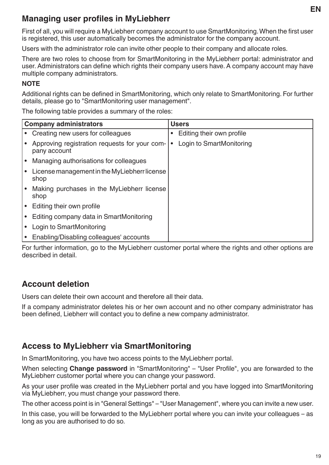## **Managing user profiles in MyLiebherr**

First of all, you will require a MyLiebherr company account to use SmartMonitoring. When the first user is registered, this user automatically becomes the administrator for the company account.

Users with the administrator role can invite other people to their company and allocate roles.

There are two roles to choose from for SmartMonitoring in the MyLiebherr portal: administrator and user. Administrators can define which rights their company users have. A company account may have multiple company administrators.

#### **NOTE**

Additional rights can be defined in SmartMonitoring, which only relate to SmartMonitoring. For further details, please go to "SmartMonitoring user management".

The following table provides a summary of the roles:

|           | <b>Company administrators</b>                                 |           | <b>Users</b>              |
|-----------|---------------------------------------------------------------|-----------|---------------------------|
|           | • Creating new users for colleagues                           | $\bullet$ | Editing their own profile |
|           | Approving registration requests for your com-<br>pany account | $\bullet$ | Login to SmartMonitoring  |
| $\bullet$ | Managing authorisations for colleagues                        |           |                           |
|           | License management in the MyLiebherr license<br>shop          |           |                           |
|           | Making purchases in the MyLiebherr license<br>shop            |           |                           |
|           | Editing their own profile                                     |           |                           |
|           | Editing company data in SmartMonitoring                       |           |                           |
|           | Login to SmartMonitoring                                      |           |                           |
|           | Enabling/Disabling colleagues' accounts                       |           |                           |

For further information, go to the MyLiebherr customer portal where the rights and other options are described in detail.

## **Account deletion**

Users can delete their own account and therefore all their data.

If a company administrator deletes his or her own account and no other company administrator has been defined, Liebherr will contact you to define a new company administrator.

## **Access to MyLiebherr via SmartMonitoring**

In SmartMonitoring, you have two access points to the MyLiebherr portal.

When selecting **Change password** in "SmartMonitoring" – "User Profile", you are forwarded to the MyLiebherr customer portal where you can change your password.

As your user profile was created in the MyLiebherr portal and you have logged into SmartMonitoring via MyLiebherr, you must change your password there.

The other access point is in "General Settings" – "User Management", where you can invite a new user.

In this case, you will be forwarded to the MyLiebherr portal where you can invite your colleagues – as long as you are authorised to do so.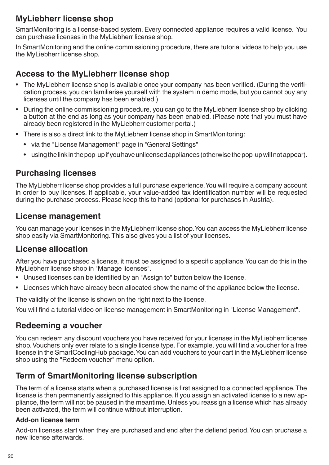## **MyLiebherr license shop**

SmartMonitoring is a license-based system. Every connected appliance requires a valid license. You can purchase licenses in the MyLiebherr license shop.

In SmartMonitoring and the online commissioning procedure, there are tutorial videos to help you use the MyLiebherr license shop.

### **Access to the MyLiebherr license shop**

- The MyLiebherr license shop is available once your company has been verified. (During the verification process, you can familiarise yourself with the system in demo mode, but you cannot buy any licenses until the company has been enabled.)
- During the online commissioning procedure, you can go to the MyLiebherr license shop by clicking a button at the end as long as your company has been enabled. (Please note that you must have already been registered in the MyLiebherr customer portal.)
- There is also a direct link to the MyLiebherr license shop in SmartMonitoring:
	- via the "License Management" page in "General Settings"
	- using the link in the pop-up if you have unlicensed appliances (otherwise the pop-up will not appear).

#### **Purchasing licenses**

The MyLiebherr license shop provides a full purchase experience. You will require a company account in order to buy licenses. If applicable, your value-added tax identification number will be requested during the purchase process. Please keep this to hand (optional for purchases in Austria).

#### **License management**

You can manage your licenses in the MyLiebherr license shop. You can access the MyLiebherr license shop easily via SmartMonitoring. This also gives you a list of your licenses.

#### **License allocation**

After you have purchased a license, it must be assigned to a specific appliance. You can do this in the MyLiebherr license shop in "Manage licenses".

- Unused licenses can be identified by an "Assign to" button below the license.
- Licenses which have already been allocated show the name of the appliance below the license.

The validity of the license is shown on the right next to the license.

You will find a tutorial video on license management in SmartMonitoring in "License Management".

#### **Redeeming a voucher**

You can redeem any discount vouchers you have received for your licenses in the MyLiebherr license shop. Vouchers only ever relate to a single license type. For example, you will find a voucher for a free license in the SmartCoolingHub package. You can add vouchers to your cart in the MyLiebherr license shop using the "Redeem voucher" menu option.

#### **Term of SmartMonitoring license subscription**

The term of a license starts when a purchased license is first assigned to a connected appliance. The license is then permanently assigned to this appliance. If you assign an activated license to a new appliance, the term will not be paused in the meantime. Unless you reassign a license which has already been activated, the term will continue without interruption.

#### **Add-on license term**

Add-on licenses start when they are purchased and end after the defiend period. You can pruchase a new license afterwards.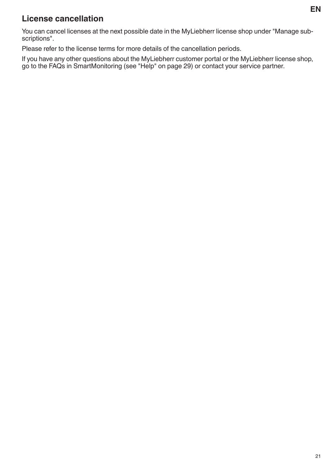## **License cancellation**

You can cancel licenses at the next possible date in the MyLiebherr license shop under "Manage subscriptions".

Please refer to the license terms for more details of the cancellation periods.

If you have any other questions about the MyLiebherr customer portal or the MyLiebherr license shop, go to the FAQs in SmartMonitoring (see "Help" on page 29) or contact your service partner.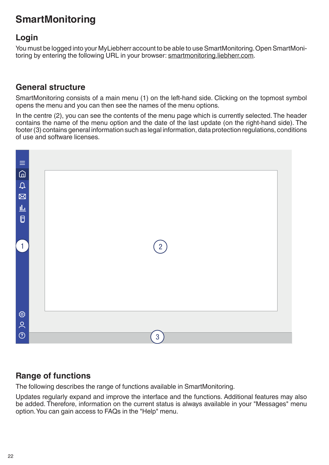# **SmartMonitoring**

#### **Login**

You must be logged into your MyLiebherr account to be able to use SmartMonitoring. Open SmartMonitoring by entering the following URL in your browser: smartmonitoring.liebherr.com.

#### **General structure**

SmartMonitoring consists of a main menu (1) on the left-hand side. Clicking on the topmost symbol opens the menu and you can then see the names of the menu options.

In the centre (2), you can see the contents of the menu page which is currently selected. The header contains the name of the menu option and the date of the last update (on the right-hand side). The footer(3) contains general information such as legal information, data protection regulations, conditions of use and software licenses.



## **Range of functions**

The following describes the range of functions available in SmartMonitoring.

Updates regularly expand and improve the interface and the functions. Additional features may also be added. Therefore, information on the current status is always available in your "Messages" menu option. You can gain access to FAQs in the "Help" menu.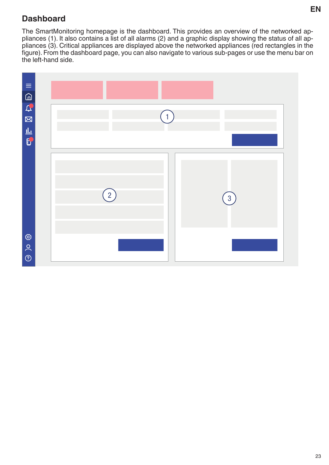## **Dashboard**

The SmartMonitoring homepage is the dashboard. This provides an overview of the networked appliances (1). It also contains a list of all alarms (2) and a graphic display showing the status of all appliances (3). Critical appliances are displayed above the networked appliances (red rectangles in the figure). From the dashboard page, you can also navigate to various sub-pages or use the menu bar on the left-hand side.

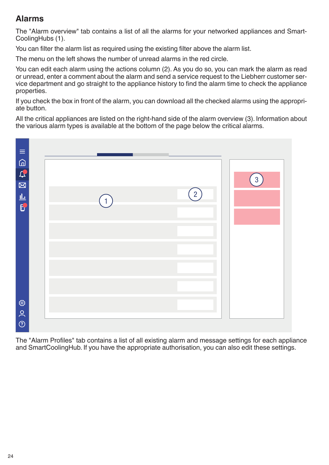## **Alarms**

The "Alarm overview" tab contains a list of all the alarms for your networked appliances and Smart-CoolingHubs (1).

You can filter the alarm list as required using the existing filter above the alarm list.

The menu on the left shows the number of unread alarms in the red circle.

You can edit each alarm using the actions column (2). As you do so, you can mark the alarm as read or unread, enter a comment about the alarm and send a service request to the Liebherr customer service department and go straight to the appliance history to find the alarm time to check the appliance properties.

If you check the box in front of the alarm, you can download all the checked alarms using the appropriate button.

All the critical appliances are listed on the right-hand side of the alarm overview (3). Information about the various alarm types is available at the bottom of the page below the critical alarms.



The "Alarm Profiles" tab contains a list of all existing alarm and message settings for each appliance and SmartCoolingHub. If you have the appropriate authorisation, you can also edit these settings.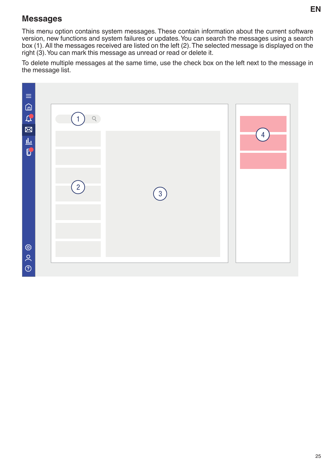#### **Messages**

This menu option contains system messages. These contain information about the current software version, new functions and system failures or updates. You can search the messages using a search box (1). All the messages received are listed on the left (2). The selected message is displayed on the right (3). You can mark this message as unread or read or delete it.

To delete multiple messages at the same time, use the check box on the left next to the message in the message list.

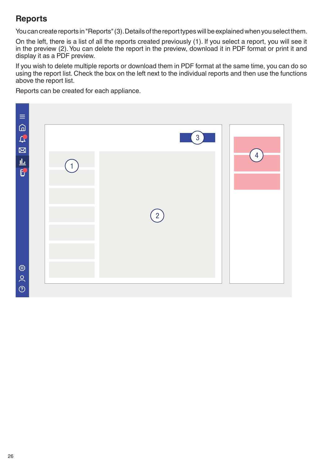## **Reports**

You can create reports in "Reports"(3). Details of the report types will be explained when you select them.

On the left, there is a list of all the reports created previously (1). If you select a report, you will see it in the preview (2). You can delete the report in the preview, download it in PDF format or print it and display it as a PDF preview.

If you wish to delete multiple reports or download them in PDF format at the same time, you can do so using the report list. Check the box on the left next to the individual reports and then use the functions above the report list.

Reports can be created for each appliance.

| $\equiv$<br>CERE                        |  |  | $\begin{pmatrix} 2 \end{pmatrix}$ | $\overline{3}$ | $\overline{4}$ |  |
|-----------------------------------------|--|--|-----------------------------------|----------------|----------------|--|
| $\circledcirc$ ) $\circ$ $\circledcirc$ |  |  |                                   |                |                |  |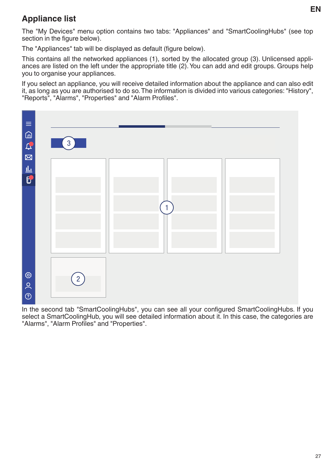## **Appliance list**

The "My Devices" menu option contains two tabs: "Appliances" and "SmartCoolingHubs" (see top section in the figure below).

The "Appliances" tab will be displayed as default (figure below).

This contains all the networked appliances (1), sorted by the allocated group (3). Unlicensed appliances are listed on the left under the appropriate title (2). You can add and edit groups. Groups help you to organise your appliances.

If you select an appliance, you will receive detailed information about the appliance and can also edit it, as long as you are authorised to do so. The information is divided into various categories: "History", "Reports", "Alarms", "Properties" and "Alarm Profiles".



In the second tab "SmartCoolingHubs", you can see all your configured SmartCoolingHubs. If you select a SmartCoolingHub, you will see detailed information about it. In this case, the categories are "Alarms", "Alarm Profiles" and "Properties".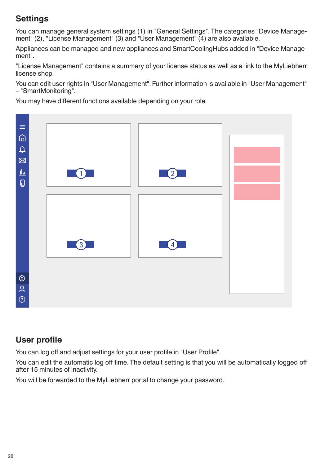## **Settings**

You can manage general system settings (1) in "General Settings". The categories "Device Management" (2), "License Management" (3) and "User Management" (4) are also available.

Appliances can be managed and new appliances and SmartCoolingHubs added in "Device Management".

"License Management" contains a summary of your license status as well as a link to the MyLiebherr license shop.

You can edit user rights in "User Management". Further information is available in "User Management" – "SmartMonitoring".

You may have different functions available depending on your role.



## **User profile**

You can log off and adjust settings for your user profile in "User Profile".

You can edit the automatic log off time. The default setting is that you will be automatically logged off after 15 minutes of inactivity.

You will be forwarded to the MyLiebherr portal to change your password.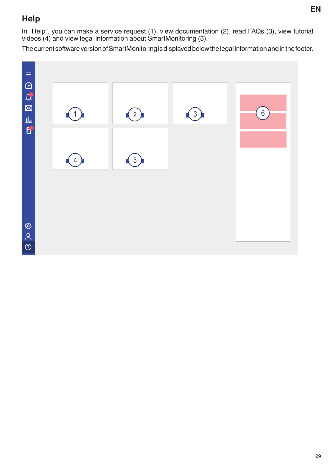## **Help**

In "Help", you can make a service request (1), view documentation (2), read FAQs (3), view tutorial videos (4) and view legal information about SmartMonitoring (5).

The current software version of SmartMonitoring is displayed below the legal information and in the footer.

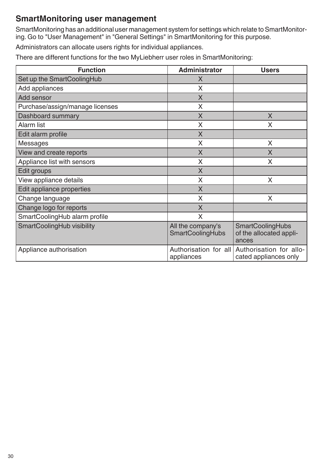## **SmartMonitoring user management**

SmartMonitoring has an additional user management system for settings which relate to SmartMonitoring. Go to "User Management" in "General Settings" in SmartMonitoring for this purpose.

Administrators can allocate users rights for individual appliances.

There are different functions for the two MyLiebherr user roles in SmartMonitoring:

| <b>Function</b>                 | <b>Administrator</b>                         | <b>Users</b>                                                |
|---------------------------------|----------------------------------------------|-------------------------------------------------------------|
| Set up the SmartCoolingHub      | X                                            |                                                             |
| Add appliances                  | X                                            |                                                             |
| Add sensor                      | $\mathsf{X}$                                 |                                                             |
| Purchase/assign/manage licenses | X                                            |                                                             |
| Dashboard summary               | $\sf X$                                      | X                                                           |
| <b>Alarm list</b>               | X                                            | X                                                           |
| Edit alarm profile              | $\sf X$                                      |                                                             |
| <b>Messages</b>                 | X                                            | X                                                           |
| View and create reports         | X                                            | X                                                           |
| Appliance list with sensors     | X                                            | X                                                           |
| Edit groups                     | X                                            |                                                             |
| View appliance details          | X                                            | X                                                           |
| Edit appliance properties       | X                                            |                                                             |
| Change language                 | X                                            | X                                                           |
| Change logo for reports         | X                                            |                                                             |
| SmartCoolingHub alarm profile   | X                                            |                                                             |
| SmartCoolingHub visibility      | All the company's<br><b>SmartCoolingHubs</b> | <b>SmartCoolingHubs</b><br>of the allocated appli-<br>ances |
| Appliance authorisation         | Authorisation for all<br>appliances          | Authorisation for allo-<br>cated appliances only            |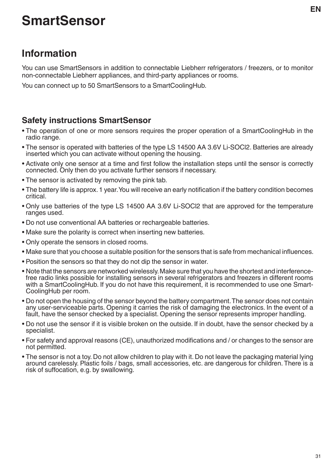# **SmartSensor**

# **Information**

You can use SmartSensors in addition to connectable Liebherr refrigerators / freezers, or to monitor non-connectable Liebherr appliances, and third-party appliances or rooms.

You can connect up to 50 SmartSensors to a SmartCoolingHub.

## **Safety instructions SmartSensor**

- The operation of one or more sensors requires the proper operation of a SmartCoolingHub in the radio range.
- The sensor is operated with batteries of the type LS 14500 AA 3.6V Li-SOCl2. Batteries are already inserted which you can activate without opening the housing.
- Activate only one sensor at a time and first follow the installation steps until the sensor is correctly connected. Only then do you activate further sensors if necessary.
- The sensor is activated by removing the pink tab.
- The battery life is approx. 1 year. You will receive an early notification if the battery condition becomes critical.
- Only use batteries of the type LS 14500 AA 3.6V Li-SOCl2 that are approved for the temperature ranges used.
- Do not use conventional AA batteries or rechargeable batteries.
- Make sure the polarity is correct when inserting new batteries.
- Only operate the sensors in closed rooms.
- Make sure that you choose a suitable position for the sensors that is safe from mechanical influences.
- Position the sensors so that they do not dip the sensor in water.
- Note that the sensors are networked wirelessly. Make sure that you have the shortest and interferencefree radio links possible for installing sensors in several refrigerators and freezers in different rooms with a SmartCoolingHub. If you do not have this requirement, it is recommended to use one Smart-CoolingHub per room.
- Do not open the housing of the sensor beyond the battery compartment. The sensor does not contain any user-serviceable parts. Opening it carries the risk of damaging the electronics. In the event of a fault, have the sensor checked by a specialist. Opening the sensor represents improper handling.
- Do not use the sensor if it is visible broken on the outside. If in doubt, have the sensor checked by a specialist.
- For safety and approval reasons (CE), unauthorized modifications and / or changes to the sensor are not permitted.
- The sensor is not a toy. Do not allow children to play with it. Do not leave the packaging material lying around carelessly. Plastic foils / bags, small accessories, etc. are dangerous for children. There is a risk of suffocation, e.g. by swallowing.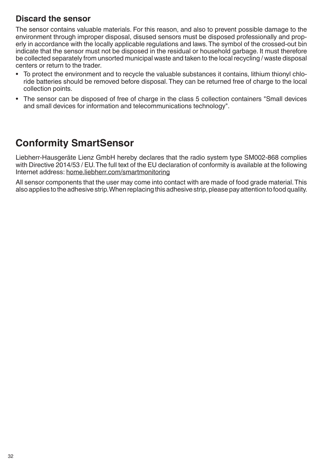#### **Discard the sensor**

The sensor contains valuable materials. For this reason, and also to prevent possible damage to the environment through improper disposal, disused sensors must be disposed professionally and properly in accordance with the locally applicable regulations and laws. The symbol of the crossed-out bin indicate that the sensor must not be disposed in the residual or household garbage. It must therefore be collected separately from unsorted municipal waste and taken to the local recycling / waste disposal centers or return to the trader.

- To protect the environment and to recycle the valuable substances it contains, lithium thionyl chloride batteries should be removed before disposal. They can be returned free of charge to the local collection points.
- The sensor can be disposed of free of charge in the class 5 collection containers "Small devices and small devices for information and telecommunications technology".

# **Conformity SmartSensor**

Liebherr-Hausgeräte Lienz GmbH hereby declares that the radio system type SM002-868 complies with Directive 2014/53 / EU. The full text of the EU declaration of conformity is available at the following Internet address: home.liebherr.com/smartmonitoring

All sensor components that the user may come into contact with are made of food grade material. This also applies to the adhesive strip. When replacing this adhesive strip, please pay attention to food quality.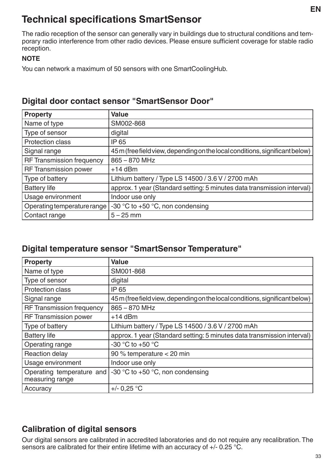# **Technical specifications SmartSensor**

The radio reception of the sensor can generally vary in buildings due to structural conditions and temporary radio interference from other radio devices. Please ensure sufficient coverage for stable radio reception.

#### **NOTE**

You can network a maximum of 50 sensors with one SmartCoolingHub.

#### **Digital door contact sensor "SmartSensor Door"**

| <b>Property</b>                  | <b>Value</b>                                                                 |
|----------------------------------|------------------------------------------------------------------------------|
| Name of type                     | SM002-868                                                                    |
| Type of sensor                   | digital                                                                      |
| <b>Protection class</b>          | <b>IP 65</b>                                                                 |
| Signal range                     | 45 m (free field view, depending on the local conditions, significant below) |
| <b>RF Transmission frequency</b> | 865 - 870 MHz                                                                |
| <b>RF Transmission power</b>     | $+14$ dBm                                                                    |
| Type of battery                  | Lithium battery / Type LS 14500 / 3.6 V / 2700 mAh                           |
| <b>Battery life</b>              | approx. 1 year (Standard setting: 5 minutes data transmission interval)      |
| Usage environment                | Indoor use only                                                              |
| Operating temperature range      | -30 $\degree$ C to +50 $\degree$ C, non condensing                           |
| Contact range                    | $5 - 25$ mm                                                                  |

## **Digital temperature sensor "SmartSensor Temperature"**

| <b>Property</b>                              | <b>Value</b>                                                                 |
|----------------------------------------------|------------------------------------------------------------------------------|
| Name of type                                 | SM001-868                                                                    |
| Type of sensor                               | digital                                                                      |
| <b>Protection class</b>                      | IP 65                                                                        |
| Signal range                                 | 45 m (free field view, depending on the local conditions, significant below) |
| <b>RF Transmission frequency</b>             | 865 - 870 MHz                                                                |
| <b>RF Transmission power</b>                 | $+14$ dBm                                                                    |
| Type of battery                              | Lithium battery / Type LS 14500 / 3.6 V / 2700 mAh                           |
| <b>Battery life</b>                          | approx. 1 year (Standard setting: 5 minutes data transmission interval)      |
| Operating range                              | -30 °C to +50 °C                                                             |
| <b>Reaction delay</b>                        | 90 % temperature < 20 min                                                    |
| Usage environment                            | Indoor use only                                                              |
| Operating temperature and<br>measuring range | -30 °C to +50 °C, non condensing                                             |
| Accuracy                                     | $+/- 0.25 °C$                                                                |

#### **Calibration of digital sensors**

Our digital sensors are calibrated in accredited laboratories and do not require any recalibration. The sensors are calibrated for their entire lifetime with an accuracy of  $+/- 0.25$  °C.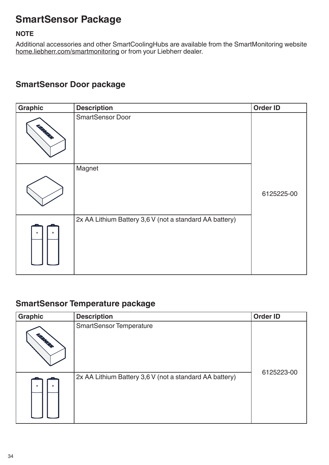# **SmartSensor Package**

#### **NOTE**

Additional accessories and other SmartCoolingHubs are available from the SmartMonitoring website home.liebherr.com/smartmonitoring or from your Liebherr dealer.

## **SmartSensor Door package**

| Graphic           | <b>Description</b>                                      | <b>Order ID</b> |
|-------------------|---------------------------------------------------------|-----------------|
| <b>LAGRAPHICA</b> | <b>SmartSensor Door</b>                                 |                 |
|                   | Magnet                                                  | 6125225-00      |
|                   | 2x AA Lithium Battery 3,6 V (not a standard AA battery) |                 |

#### **SmartSensor Temperature package**

| <b>Graphic</b> | <b>Description</b>                                      | <b>Order ID</b> |
|----------------|---------------------------------------------------------|-----------------|
| <b>LABORER</b> | <b>SmartSensor Temperature</b>                          |                 |
|                | 2x AA Lithium Battery 3,6 V (not a standard AA battery) | 6125223-00      |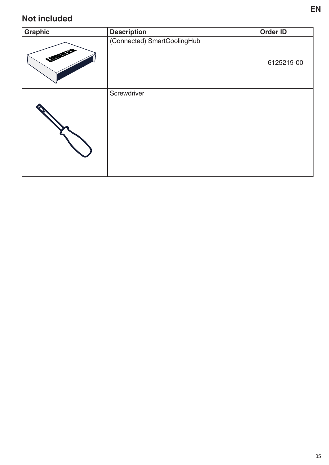## **Not included**

| Graphic           | <b>Description</b>          | Order ID   |
|-------------------|-----------------------------|------------|
| <b>LIFERNIFER</b> | (Connected) SmartCoolingHub | 6125219-00 |
|                   | Screwdriver                 |            |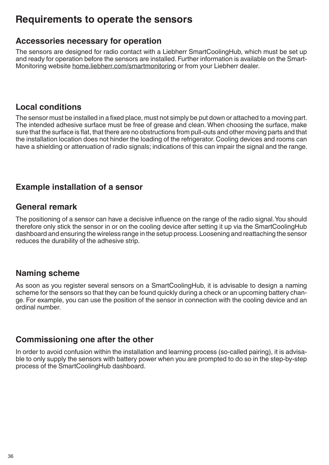# **Requirements to operate the sensors**

#### **Accessories necessary for operation**

The sensors are designed for radio contact with a Liebherr SmartCoolingHub, which must be set up and ready for operation before the sensors are installed. Further information is available on the Smart-Monitoring website home.liebherr.com/smartmonitoring or from your Liebherr dealer.

#### **Local conditions**

The sensor must be installed in a fixed place, must not simply be put down or attached to a moving part. The intended adhesive surface must be free of grease and clean. When choosing the surface, make sure that the surface is flat, that there are no obstructions from pull-outs and other moving parts and that the installation location does not hinder the loading of the refrigerator. Cooling devices and rooms can have a shielding or attenuation of radio signals; indications of this can impair the signal and the range.

#### **Example installation of a sensor**

#### **General remark**

The positioning of a sensor can have a decisive influence on the range of the radio signal. You should therefore only stick the sensor in or on the cooling device after setting it up via the SmartCoolingHub dashboard and ensuring the wireless range in the setup process. Loosening and reattaching the sensor reduces the durability of the adhesive strip.

#### **Naming scheme**

As soon as you register several sensors on a SmartCoolingHub, it is advisable to design a naming scheme for the sensors so that they can be found quickly during a check or an upcoming battery change. For example, you can use the position of the sensor in connection with the cooling device and an ordinal number.

#### **Commissioning one after the other**

In order to avoid confusion within the installation and learning process (so-called pairing), it is advisable to only supply the sensors with battery power when you are prompted to do so in the step-by-step process of the SmartCoolingHub dashboard.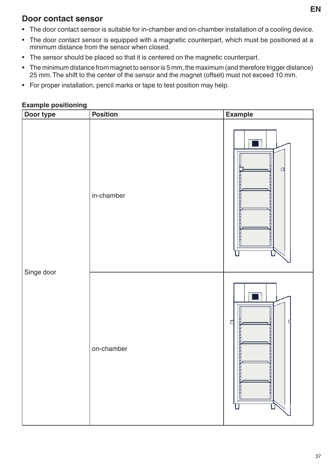#### **Door contact sensor**

- The door contact sensor is suitable for in-chamber and on-chamber installation of a cooling device.
- The door contact sensor is equipped with a magnetic counterpart, which must be positioned at a minimum distance from the sensor when closed.
- The sensor should be placed so that it is centered on the magnetic counterpart.
- The minimum distance from magnet to sensor is 5 mm, the maximum (and therefore trigger distance) 25 mm. The shift to the center of the sensor and the magnet (offset) must not exceed 10 mm.
- For proper installation, pencil marks or tape to test position may help.

#### **Example positioning**

| Door type  | <b>Position</b> | Example |
|------------|-----------------|---------|
|            | in-chamber      | $\Box$  |
| Singe door | on-chamber      | ₫       |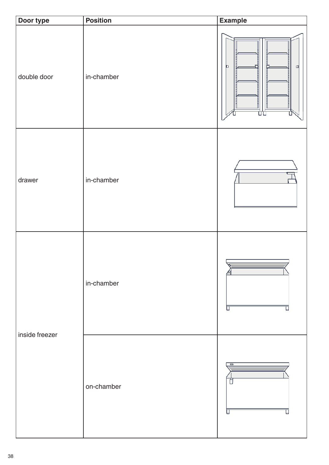| Door type      | <b>Position</b> | Example             |
|----------------|-----------------|---------------------|
| double door    | in-chamber      | D<br>$\Box$<br>ÜU   |
| drawer         | in-chamber      |                     |
| inside freezer | in-chamber      | U                   |
|                | on-chamber      | $\blacksquare$<br>Π |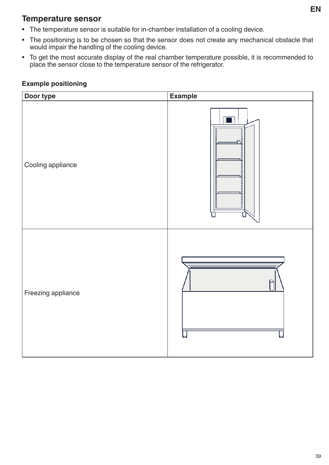#### **Temperature sensor**

- The temperature sensor is suitable for in-chamber installation of a cooling device.
- The positioning is to be chosen so that the sensor does not create any mechanical obstacle that would impair the handling of the cooling device.
- To get the most accurate display of the real chamber temperature possible, it is recommended to place the sensor close to the temperature sensor of the refrigerator.

| Door type          | Example |
|--------------------|---------|
| Cooling appliance  |         |
| Freezing appliance |         |

#### **Example positioning**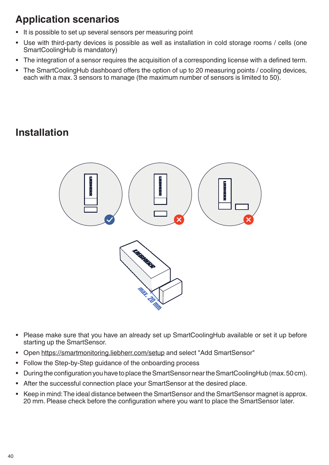# **Application scenarios**

- It is possible to set up several sensors per measuring point
- Use with third-party devices is possible as well as installation in cold storage rooms / cells (one SmartCoolingHub is mandatory)
- The integration of a sensor requires the acquisition of a corresponding license with a defined term.
- The SmartCoolingHub dashboard offers the option of up to 20 measuring points / cooling devices, each with a max. 3 sensors to manage (the maximum number of sensors is limited to 50).

# **Installation**



- Please make sure that you have an already set up SmartCoolingHub available or set it up before starting up the SmartSensor.
- Open https://smartmonitoring.liebherr.com/setup and select "Add SmartSensor"
- Follow the Step-by-Step guidance of the onboarding process
- During the configuration you have to place the SmartSensor near the SmartCoolingHub (max. 50 cm).
- After the successful connection place your SmartSensor at the desired place.
- Keep in mind: The ideal distance between the SmartSensor and the SmartSensor magnet is approx. 20 mm. Please check before the configuration where you want to place the SmartSensor later.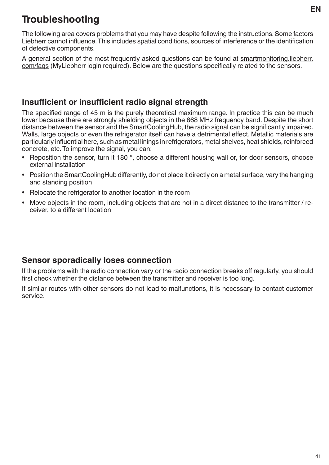# **Troubleshooting**

The following area covers problems that you may have despite following the instructions. Some factors Liebherr cannot influence. This includes spatial conditions, sources of interference or the identification of defective components.

A general section of the most frequently asked questions can be found at smartmonitoring.liebherr. com/faqs (MyLiebherr login required). Below are the questions specifically related to the sensors.

#### **Insufficient or insufficient radio signal strength**

The specified range of 45 m is the purely theoretical maximum range. In practice this can be much lower because there are strongly shielding objects in the 868 MHz frequency band. Despite the short distance between the sensor and the SmartCoolingHub, the radio signal can be significantly impaired. Walls, large objects or even the refrigerator itself can have a detrimental effect. Metallic materials are particularly influential here, such as metal linings in refrigerators, metal shelves, heat shields, reinforced concrete, etc. To improve the signal, you can:

- Reposition the sensor, turn it 180 °, choose a different housing wall or, for door sensors, choose external installation
- Position the SmartCoolingHub differently, do not place it directly on a metal surface, vary the hanging and standing position
- Relocate the refrigerator to another location in the room
- Move objects in the room, including objects that are not in a direct distance to the transmitter / receiver, to a different location

#### **Sensor sporadically loses connection**

If the problems with the radio connection vary or the radio connection breaks off regularly, you should first check whether the distance between the transmitter and receiver is too long.

If similar routes with other sensors do not lead to malfunctions, it is necessary to contact customer service.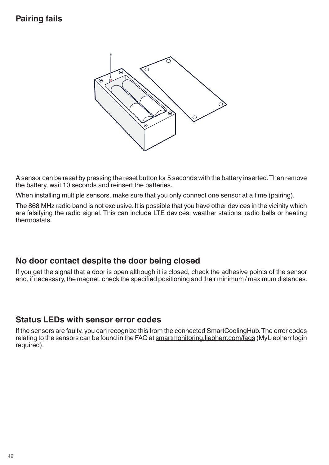## **Pairing fails**



A sensor can be reset by pressing the reset button for 5 seconds with the battery inserted. Then remove the battery, wait 10 seconds and reinsert the batteries.

When installing multiple sensors, make sure that you only connect one sensor at a time (pairing).

The 868 MHz radio band is not exclusive. It is possible that you have other devices in the vicinity which are falsifying the radio signal. This can include LTE devices, weather stations, radio bells or heating thermostats.

#### **No door contact despite the door being closed**

If you get the signal that a door is open although it is closed, check the adhesive points of the sensor and, if necessary, the magnet, check the specified positioning and their minimum / maximum distances.

#### **Status LEDs with sensor error codes**

If the sensors are faulty, you can recognize this from the connected SmartCoolingHub. The error codes relating to the sensors can be found in the FAQ at smartmonitoring.liebherr.com/faqs (MyLiebherr login required).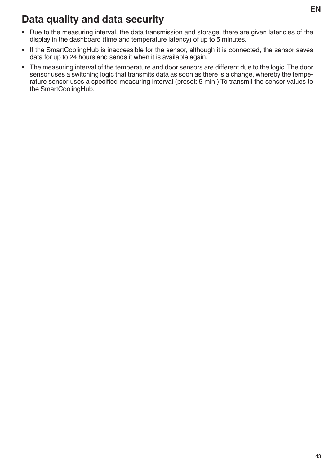# **Data quality and data security**

- Due to the measuring interval, the data transmission and storage, there are given latencies of the display in the dashboard (time and temperature latency) of up to 5 minutes.
- If the SmartCoolingHub is inaccessible for the sensor, although it is connected, the sensor saves data for up to 24 hours and sends it when it is available again.
- The measuring interval of the temperature and door sensors are different due to the logic. The door sensor uses a switching logic that transmits data as soon as there is a change, whereby the temperature sensor uses a specified measuring interval (preset: 5 min.) To transmit the sensor values to the SmartCoolingHub.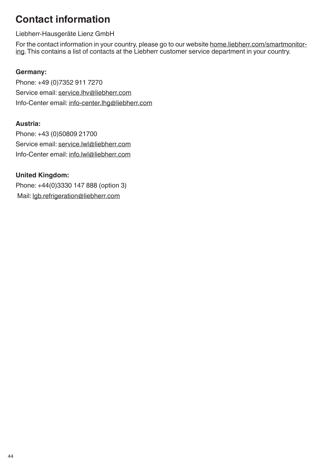# **Contact information**

Liebherr-Hausgeräte Lienz GmbH

For the contact information in your country, please go to our website home.liebherr.com/smartmonitoring. This contains a list of contacts at the Liebherr customer service department in your country.

#### **Germany:**

Phone: +49 (0)7352 911 7270 Service email: service.lhv@liebherr.com Info-Center email: info-center.lhg@liebherr.com

#### **Austria:**

Phone: +43 (0)50809 21700 Service email: service.lwl@liebherr.com Info-Center email: info.lwl@liebherr.com

#### **United Kingdom:**

Phone: +44(0)3330 147 888 (option 3) Mail: lgb.refrigeration@liebherr.com